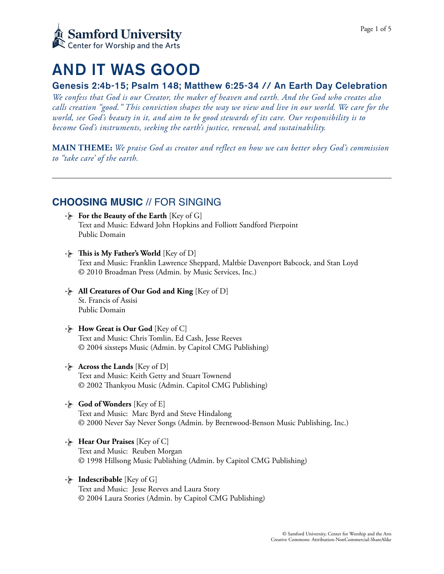

# AND IT WAS GOOD

## Genesis 2:4b-15; Psalm 148; Matthew 6:25-34 // An Earth Day Celebration

*We confess that God is our Creator, the maker of heaven and earth. And the God who creates also calls creation "good." This conviction shapes the way we view and live in our world. We care for the world, see God's beauty in it, and aim to be good stewards of its care. Our responsibility is to become God's instruments, seeking the earth's justice, renewal, and sustainability.* 

**MAIN THEME:** *We praise God as creator and reflect on how we can better obey God's commission to "take care' of the earth.*

# **CHOOSING MUSIC** // FOR SINGING

- **For the Beauty of the Earth** [Key of G] Text and Music: Edward John Hopkins and Folliott Sandford Pierpoint Public Domain
- **Fig.** This is My Father's World [Key of D] Text and Music: Franklin Lawrence Sheppard, Maltbie Davenport Babcock, and Stan Loyd © 2010 Broadman Press (Admin. by Music Services, Inc.)
- **All Creatures of Our God and King** [Key of D] St. Francis of Assisi Public Domain
- **How Great is Our God** [Key of C] Text and Music: Chris Tomlin, Ed Cash, Jesse Reeves © 2004 sixsteps Music (Admin. by Capitol CMG Publishing)
- **Across the Lands** [Key of D] Text and Music: Keith Getty and Stuart Townend © 2002 Tankyou Music (Admin. Capitol CMG Publishing)
- **God of Wonders** [Key of E] Text and Music: Marc Byrd and Steve Hindalong © 2000 Never Say Never Songs (Admin. by Brentwood-Benson Music Publishing, Inc.)
- **Hear Our Praises** [Key of C] Text and Music: Reuben Morgan © 1998 Hillsong Music Publishing (Admin. by Capitol CMG Publishing)
- **Indescribable** [Key of G] Text and Music: Jesse Reeves and Laura Story © 2004 Laura Stories (Admin. by Capitol CMG Publishing)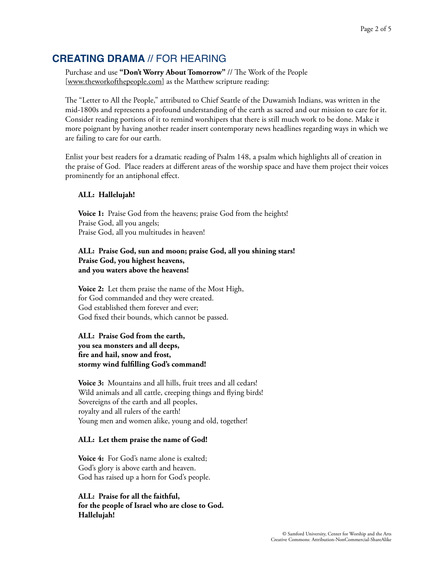## **CREATING DRAMA** // FOR HEARING

Purchase and use "Don't Worry About Tomorrow" // The Work of the People [[www.theworkofthepeople.com](http://www.theworkofthepeople.com)] as the Matthew scripture reading:

The "Letter to All the People," attributed to Chief Seattle of the Duwamish Indians, was written in the mid-1800s and represents a profound understanding of the earth as sacred and our mission to care for it. Consider reading portions of it to remind worshipers that there is still much work to be done. Make it more poignant by having another reader insert contemporary news headlines regarding ways in which we are failing to care for our earth.

Enlist your best readers for a dramatic reading of Psalm 148, a psalm which highlights all of creation in the praise of God. Place readers at different areas of the worship space and have them project their voices prominently for an antiphonal effect.

### **ALL: Hallelujah!**

**Voice 1:** Praise God from the heavens; praise God from the heights! Praise God, all you angels; Praise God, all you multitudes in heaven!

### **ALL: Praise God, sun and moon; praise God, all you shining stars! Praise God, you highest heavens, and you waters above the heavens!**

**Voice 2:** Let them praise the name of the Most High, for God commanded and they were created. God established them forever and ever; God fixed their bounds, which cannot be passed.

## **ALL: Praise God from the earth, you sea monsters and all deeps, fire and hail, snow and frost, stormy wind fulfilling God's command!**

**Voice 3:** Mountains and all hills, fruit trees and all cedars! Wild animals and all cattle, creeping things and flying birds! Sovereigns of the earth and all peoples, royalty and all rulers of the earth! Young men and women alike, young and old, together!

### **ALL: Let them praise the name of God!**

**Voice 4:** For God's name alone is exalted; God's glory is above earth and heaven. God has raised up a horn for God's people.

## **ALL: Praise for all the faithful, for the people of Israel who are close to God. Hallelujah!**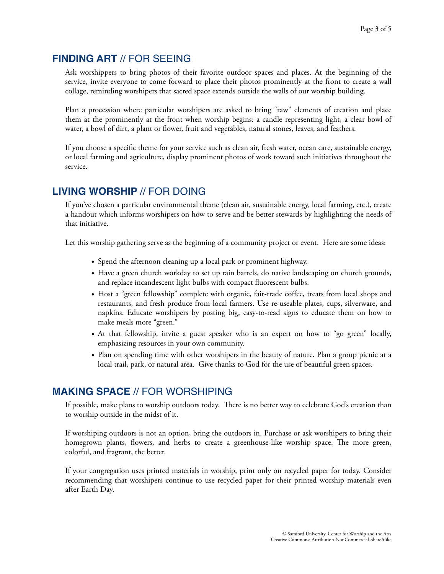## **FINDING ART** // FOR SEEING

Ask worshippers to bring photos of their favorite outdoor spaces and places. At the beginning of the service, invite everyone to come forward to place their photos prominently at the front to create a wall collage, reminding worshipers that sacred space extends outside the walls of our worship building.

Plan a procession where particular worshipers are asked to bring "raw" elements of creation and place them at the prominently at the front when worship begins: a candle representing light, a clear bowl of water, a bowl of dirt, a plant or flower, fruit and vegetables, natural stones, leaves, and feathers.

If you choose a specific theme for your service such as clean air, fresh water, ocean care, sustainable energy, or local farming and agriculture, display prominent photos of work toward such initiatives throughout the service.

# **LIVING WORSHIP** // FOR DOING

If you've chosen a particular environmental theme (clean air, sustainable energy, local farming, etc.), create a handout which informs worshipers on how to serve and be better stewards by highlighting the needs of that initiative.

Let this worship gathering serve as the beginning of a community project or event. Here are some ideas:

- Spend the afternoon cleaning up a local park or prominent highway.
- Have a green church workday to set up rain barrels, do native landscaping on church grounds, and replace incandescent light bulbs with compact fluorescent bulbs.
- Host a "green fellowship" complete with organic, fair-trade coffee, treats from local shops and restaurants, and fresh produce from local farmers. Use re-useable plates, cups, silverware, and napkins. Educate worshipers by posting big, easy-to-read signs to educate them on how to make meals more "green."
- At that fellowship, invite a guest speaker who is an expert on how to "go green" locally, emphasizing resources in your own community.
- Plan on spending time with other worshipers in the beauty of nature. Plan a group picnic at a local trail, park, or natural area. Give thanks to God for the use of beautiful green spaces.

# **MAKING SPACE** // FOR WORSHIPING

If possible, make plans to worship outdoors today. There is no better way to celebrate God's creation than to worship outside in the midst of it.

If worshiping outdoors is not an option, bring the outdoors in. Purchase or ask worshipers to bring their homegrown plants, flowers, and herbs to create a greenhouse-like worship space. The more green, colorful, and fragrant, the better.

If your congregation uses printed materials in worship, print only on recycled paper for today. Consider recommending that worshipers continue to use recycled paper for their printed worship materials even after Earth Day.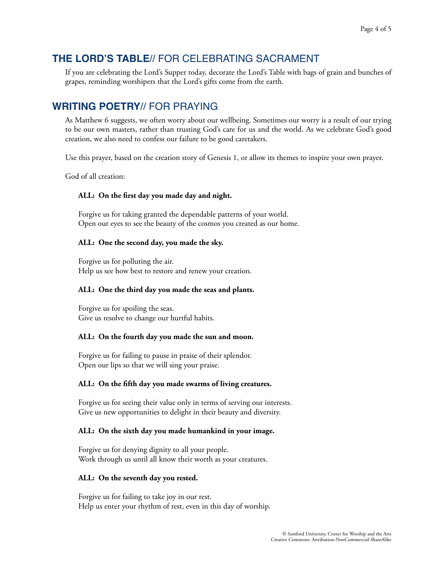# **THE LORD'S TABLE**// FOR CELEBRATING SACRAMENT

If you are celebrating the Lord's Supper today, decorate the Lord's Table with bags of grain and bunches of grapes, reminding worshipers that the Lord's gifts come from the earth.

# **WRITING POETRY**// FOR PRAYING

As Matthew 6 suggests, we often worry about our wellbeing. Sometimes our worry is a result of our trying to be our own masters, rather than trusting God's care for us and the world. As we celebrate God's good creation, we also need to confess our failure to be good caretakers.

Use this prayer, based on the creation story of Genesis 1, or allow its themes to inspire your own prayer.

God of all creation:

## **ALL: On the first day you made day and night.**

Forgive us for taking granted the dependable patterns of your world. Open our eyes to see the beauty of the cosmos you created as our home.

## **ALL: One the second day, you made the sky.**

Forgive us for polluting the air. Help us see how best to restore and renew your creation.

## **ALL: One the third day you made the seas and plants.**

Forgive us for spoiling the seas. Give us resolve to change our hurtful habits.

## **ALL: On the fourth day you made the sun and moon.**

Forgive us for failing to pause in praise of their splendor. Open our lips so that we will sing your praise.

## **ALL: On the fifth day you made swarms of living creatures.**

Forgive us for seeing their value only in terms of serving our interests. Give us new opportunities to delight in their beauty and diversity.

## **ALL: On the sixth day you made humankind in your image.**

Forgive us for denying dignity to all your people. Work through us until all know their worth as your creatures.

## **ALL: On the seventh day you rested.**

Forgive us for failing to take joy in our rest. Help us enter your rhythm of rest, even in this day of worship.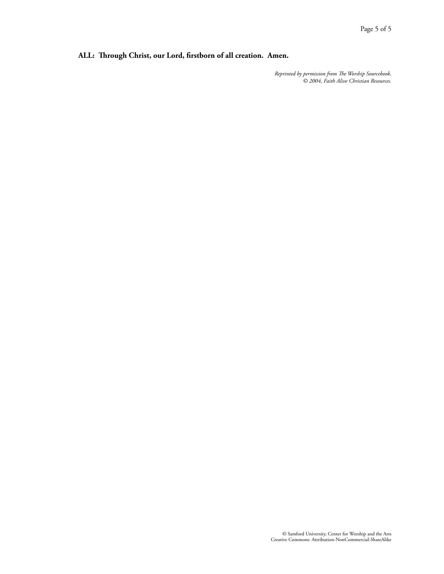## **ALL: Trough Christ, our Lord, firstborn of all creation. Amen.**

*Reprinted by permission from Te Worship Sourcebook, © 2004, Faith Alive Christian Resources.*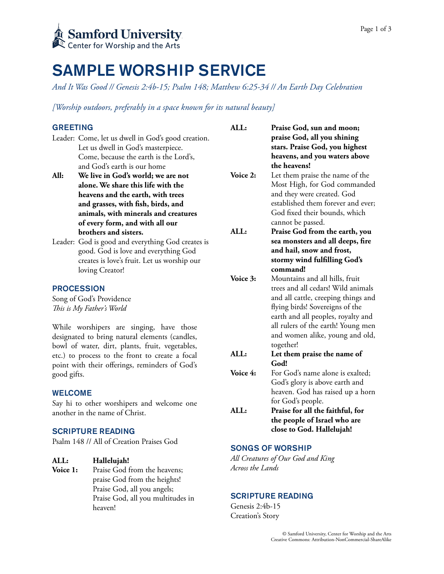# SAMPLE WORSHIP SERVICE

*And It Was Good // Genesis 2:4b-15; Psalm 148; Matthew 6:25-34 // An Earth Day Celebration* 

*[Worship outdoors, preferably in a space known for its natural beauty]* 

## GREETING

| <b>GREETING</b>                                 |                                                    | ALL:     | Praise God, sun and moon;           |
|-------------------------------------------------|----------------------------------------------------|----------|-------------------------------------|
|                                                 | Leader: Come, let us dwell in God's good creation. |          | praise God, all you shining         |
|                                                 | Let us dwell in God's masterpiece.                 |          | stars. Praise God, you highest      |
|                                                 | Come, because the earth is the Lord's,             |          | heavens, and you waters above       |
|                                                 | and God's earth is our home                        |          | the heavens!                        |
| All:                                            | We live in God's world; we are not                 | Voice 2: | Let them praise the name of the     |
|                                                 | alone. We share this life with the                 |          | Most High, for God commanded        |
|                                                 | heavens and the earth, with trees                  |          | and they were created. God          |
|                                                 | and grasses, with fish, birds, and                 |          | established them forever and ever;  |
|                                                 | animals, with minerals and creatures               |          | God fixed their bounds, which       |
|                                                 | of every form, and with all our                    |          | cannot be passed.                   |
|                                                 | brothers and sisters.                              | ALL:     | Praise God from the earth, you      |
|                                                 | Leader: God is good and everything God creates is  |          | sea monsters and all deeps, fire    |
|                                                 | good. God is love and everything God               |          | and hail, snow and frost,           |
|                                                 | creates is love's fruit. Let us worship our        |          | stormy wind fulfilling God's        |
|                                                 | loving Creator!                                    |          | command!                            |
|                                                 |                                                    | Voice 3: | Mountains and all hills, fruit      |
| <b>PROCESSION</b>                               |                                                    |          | trees and all cedars! Wild animals  |
| Song of God's Providence                        |                                                    |          | and all cattle, creeping things and |
| This is My Father's World                       |                                                    |          | flying birds! Sovereigns of the     |
|                                                 |                                                    |          | earth and all peoples, royalty and  |
| While worshipers are singing, have those        |                                                    |          | all rulers of the earth! Young men  |
| designated to bring natural elements (candles,  |                                                    |          | and women alike, young and old,     |
| bowl of water, dirt, plants, fruit, vegetables, |                                                    |          | together!                           |
| etc.) to process to the front to create a focal |                                                    | ALL:     | Let them praise the name of         |
| point with their offerings, reminders of God's  |                                                    |          | God!                                |
| good gifts.                                     |                                                    | Voice 4: | For God's name alone is exalted;    |
|                                                 |                                                    |          | God's glory is above earth and      |
| <b>WELCOME</b>                                  |                                                    |          | heaven. God has raised up a horn    |
| Say hi to other worshipers and welcome one      |                                                    |          | for God's people.                   |
| another in the name of Christ.                  |                                                    | ALL:     | Praise for all the faithful, for    |
|                                                 |                                                    |          | the people of Israel who are        |
|                                                 | <b>SCRIPTURE READING</b>                           |          | close to God. Hallelujah!           |

## SCRIPTURE READING

Psalm 148 // All of Creation Praises God

## **ALL: Hallelujah!**

Voice 1: Praise God from the heavens; praise God from the heights! Praise God, all you angels; Praise God, all you multitudes in heaven!

# SONGS OF WORSHIP

*All Creatures of Our God and King Across the Lands* 

### SCRIPTURE READING

Genesis 2:4b-15 Creation's Story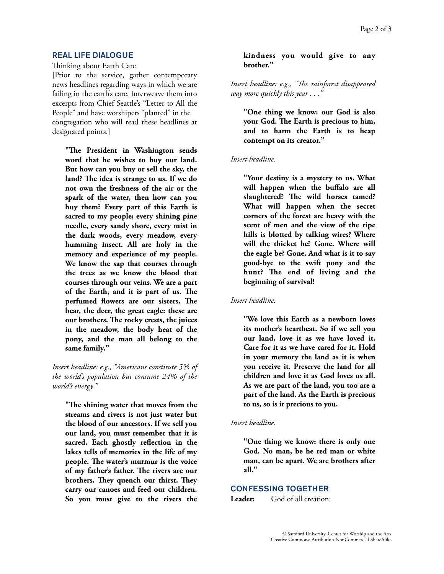## REAL LIFE DIALOGUE

Thinking about Earth Care

[Prior to the service, gather contemporary news headlines regarding ways in which we are failing in the earth's care. Interweave them into excerpts from Chief Seattle's "Letter to All the People" and have worshipers "planted" in the congregation who will read these headlines at designated points.]

**"Te President in Washington sends word that he wishes to buy our land. But how can you buy or sell the sky, the land? Te idea is strange to us. If we do not own the freshness of the air or the spark of the water, then how can you buy them? Every part of this Earth is sacred to my people; every shining pine needle, every sandy shore, every mist in the dark woods, every meadow, every humming insect. All are holy in the memory and experience of my people. We know the sap that courses through the trees as we know the blood that courses through our veins. We are a part of the Earth, and it is part of us. Te perfumed flowers are our sisters. Te bear, the deer, the great eagle: these are our brothers. Te rocky crests, the juices in the meadow, the body heat of the pony, and the man all belong to the same family."** 

*Insert headline: e.g., "Americans constitute 5% of the world's population but consume 24% of the world's energy."* 

**"Te shining water that moves from the streams and rivers is not just water but the blood of our ancestors. If we sell you our land, you must remember that it is sacred. Each ghostly reflection in the lakes tells of memories in the life of my people. Te water's murmur is the voice of my father's father. Te rivers are our brothers. Tey quench our thirst. Tey carry our canoes and feed our children. So you must give to the rivers the** 

### **kindness you would give to any brother."**

*Insert headline: e.g., "Te rainforest disappeared way more quickly this year* . . .

**"One thing we know: our God is also your God. Te Earth is precious to him, and to harm the Earth is to heap contempt on its creator."** 

### *Insert headline.*

**"Your destiny is a mystery to us. What will happen when the buffalo are all slaughtered? Te wild horses tamed? What will happen when the secret corners of the forest are heavy with the scent of men and the view of the ripe hills is blotted by talking wires? Where will the thicket be? Gone. Where will the eagle be? Gone. And what is it to say good-bye to the swift pony and the hunt? Te end of living and the beginning of survival!** 

### *Insert headline.*

**"We love this Earth as a newborn loves its mother's heartbeat. So if we sell you our land, love it as we have loved it. Care for it as we have cared for it. Hold in your memory the land as it is when you receive it. Preserve the land for all children and love it as God loves us all. As we are part of the land, you too are a part of the land. As the Earth is precious to us, so is it precious to you.** 

### *Insert headline.*

**"One thing we know: there is only one God. No man, be he red man or white man, can be apart. We are brothers after all."** 

## CONFESSING TOGETHER

Leader: God of all creation: